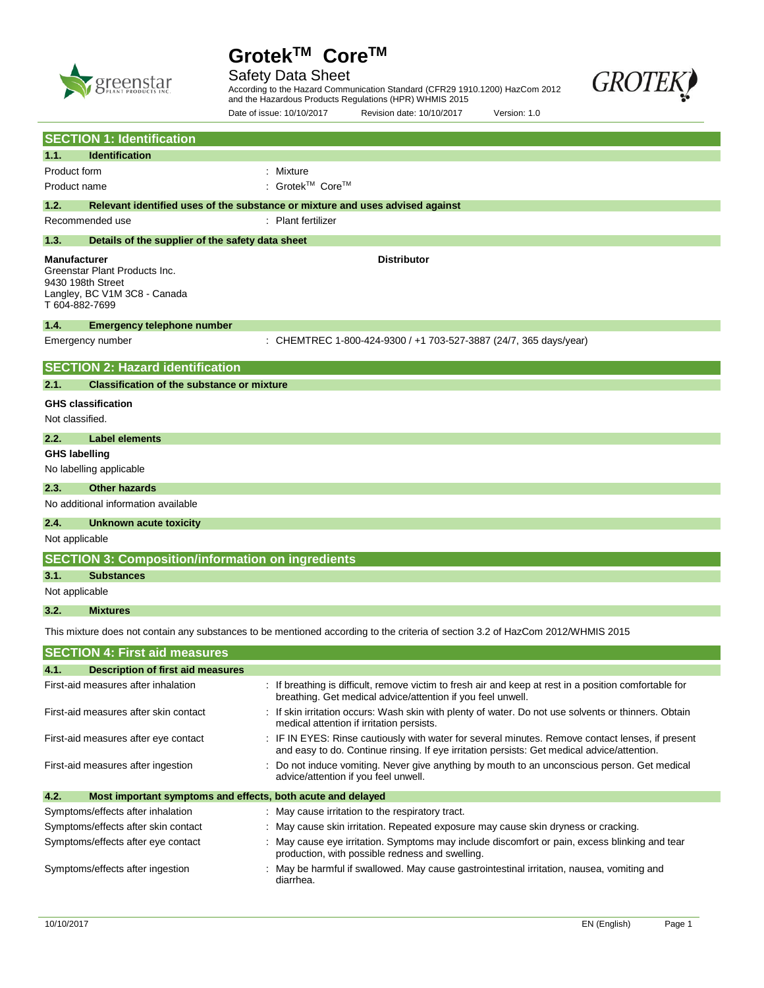

Safety Data Sheet



According to the Hazard Communication Standard (CFR29 1910.1200) HazCom 2012 and the Hazardous Products Regulations (HPR) WHMIS 2015

|                                                                                                                                 |                                                                                    | Date of issue: 10/10/2017                                                     | Revision date: 10/10/2017                                         | Version: 1.0                                                                                                                                                                                    |  |  |
|---------------------------------------------------------------------------------------------------------------------------------|------------------------------------------------------------------------------------|-------------------------------------------------------------------------------|-------------------------------------------------------------------|-------------------------------------------------------------------------------------------------------------------------------------------------------------------------------------------------|--|--|
|                                                                                                                                 | <b>SECTION 1: Identification</b>                                                   |                                                                               |                                                                   |                                                                                                                                                                                                 |  |  |
| 1.1.                                                                                                                            | <b>Identification</b>                                                              |                                                                               |                                                                   |                                                                                                                                                                                                 |  |  |
| Product form                                                                                                                    |                                                                                    | : Mixture                                                                     |                                                                   |                                                                                                                                                                                                 |  |  |
| Product name                                                                                                                    |                                                                                    | : Grotek™ Core™                                                               |                                                                   |                                                                                                                                                                                                 |  |  |
| 1.2.                                                                                                                            |                                                                                    | Relevant identified uses of the substance or mixture and uses advised against |                                                                   |                                                                                                                                                                                                 |  |  |
|                                                                                                                                 | Recommended use                                                                    | : Plant fertilizer                                                            |                                                                   |                                                                                                                                                                                                 |  |  |
| 1.3.                                                                                                                            | Details of the supplier of the safety data sheet                                   |                                                                               |                                                                   |                                                                                                                                                                                                 |  |  |
| <b>Manufacturer</b><br>T 604-882-7699                                                                                           | Greenstar Plant Products Inc.<br>9430 198th Street<br>Langley, BC V1M 3C8 - Canada |                                                                               | <b>Distributor</b>                                                |                                                                                                                                                                                                 |  |  |
| 1.4.                                                                                                                            | <b>Emergency telephone number</b>                                                  |                                                                               |                                                                   |                                                                                                                                                                                                 |  |  |
|                                                                                                                                 | Emergency number                                                                   |                                                                               | : CHEMTREC 1-800-424-9300 / +1 703-527-3887 (24/7, 365 days/year) |                                                                                                                                                                                                 |  |  |
|                                                                                                                                 | <b>SECTION 2: Hazard identification</b>                                            |                                                                               |                                                                   |                                                                                                                                                                                                 |  |  |
| 2.1.                                                                                                                            | <b>Classification of the substance or mixture</b>                                  |                                                                               |                                                                   |                                                                                                                                                                                                 |  |  |
|                                                                                                                                 | <b>GHS classification</b>                                                          |                                                                               |                                                                   |                                                                                                                                                                                                 |  |  |
| Not classified.                                                                                                                 |                                                                                    |                                                                               |                                                                   |                                                                                                                                                                                                 |  |  |
| 2.2.                                                                                                                            | <b>Label elements</b>                                                              |                                                                               |                                                                   |                                                                                                                                                                                                 |  |  |
| <b>GHS labelling</b>                                                                                                            |                                                                                    |                                                                               |                                                                   |                                                                                                                                                                                                 |  |  |
|                                                                                                                                 | No labelling applicable                                                            |                                                                               |                                                                   |                                                                                                                                                                                                 |  |  |
| 2.3.                                                                                                                            | <b>Other hazards</b>                                                               |                                                                               |                                                                   |                                                                                                                                                                                                 |  |  |
|                                                                                                                                 | No additional information available                                                |                                                                               |                                                                   |                                                                                                                                                                                                 |  |  |
| 2.4.                                                                                                                            | Unknown acute toxicity                                                             |                                                                               |                                                                   |                                                                                                                                                                                                 |  |  |
| Not applicable                                                                                                                  |                                                                                    |                                                                               |                                                                   |                                                                                                                                                                                                 |  |  |
|                                                                                                                                 | <b>SECTION 3: Composition/information on ingredients</b>                           |                                                                               |                                                                   |                                                                                                                                                                                                 |  |  |
| 3.1.                                                                                                                            | <b>Substances</b>                                                                  |                                                                               |                                                                   |                                                                                                                                                                                                 |  |  |
| Not applicable                                                                                                                  |                                                                                    |                                                                               |                                                                   |                                                                                                                                                                                                 |  |  |
| 3.2.                                                                                                                            | <b>Mixtures</b>                                                                    |                                                                               |                                                                   |                                                                                                                                                                                                 |  |  |
| This mixture does not contain any substances to be mentioned according to the criteria of section 3.2 of HazCom 2012/WHMIS 2015 |                                                                                    |                                                                               |                                                                   |                                                                                                                                                                                                 |  |  |
|                                                                                                                                 | <b>SECTION 4: First aid measures</b>                                               |                                                                               |                                                                   |                                                                                                                                                                                                 |  |  |
|                                                                                                                                 | 4.1. Description of first aid measures                                             |                                                                               |                                                                   |                                                                                                                                                                                                 |  |  |
|                                                                                                                                 | First-aid measures after inhalation                                                |                                                                               | breathing. Get medical advice/attention if you feel unwell.       | : If breathing is difficult, remove victim to fresh air and keep at rest in a position comfortable for                                                                                          |  |  |
|                                                                                                                                 | First-aid measures after skin contact                                              |                                                                               | medical attention if irritation persists.                         | : If skin irritation occurs: Wash skin with plenty of water. Do not use solvents or thinners. Obtain                                                                                            |  |  |
|                                                                                                                                 | First-aid measures after eye contact                                               |                                                                               |                                                                   | : IF IN EYES: Rinse cautiously with water for several minutes. Remove contact lenses, if present<br>and easy to do. Continue rinsing. If eye irritation persists: Get medical advice/attention. |  |  |
|                                                                                                                                 | First-aid measures after ingestion                                                 | advice/attention if you feel unwell.                                          |                                                                   | : Do not induce vomiting. Never give anything by mouth to an unconscious person. Get medical                                                                                                    |  |  |

**4.2. Most important symptoms and effects, both acute and delayed** Symptoms/effects after inhalation : May cause irritation to the respiratory tract. Symptoms/effects after skin contact : May cause skin irritation. Repeated exposure may cause skin dryness or cracking. Symptoms/effects after eye contact : May cause eye irritation. Symptoms may include discomfort or pain, excess blinking and tear production, with possible redness and swelling. Symptoms/effects after ingestion : May be harmful if swallowed. May cause gastrointestinal irritation, nausea, vomiting and diarrhea.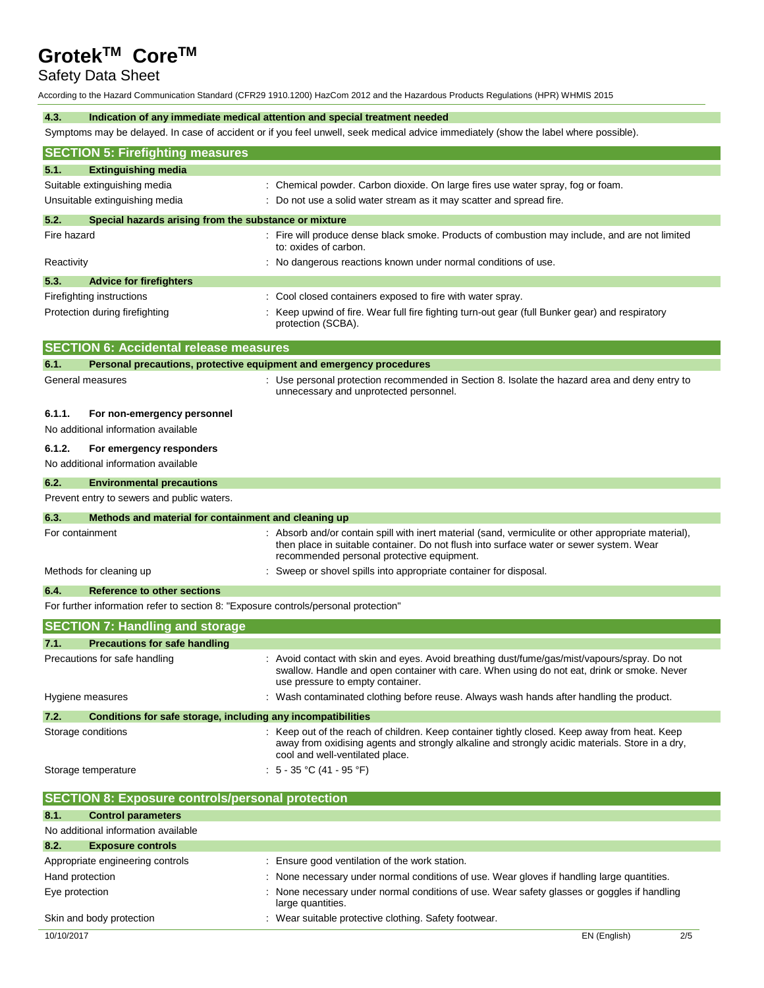# Safety Data Sheet

According to the Hazard Communication Standard (CFR29 1910.1200) HazCom 2012 and the Hazardous Products Regulations (HPR) WHMIS 2015

#### **4.3. Indication of any immediate medical attention and special treatment needed**

Symptoms may be delayed. In case of accident or if you feel unwell, seek medical advice immediately (show the label where possible).

| <b>SECTION 5: Firefighting measures</b>                                             |                                                                                                                                                                                                                                               |  |  |  |  |
|-------------------------------------------------------------------------------------|-----------------------------------------------------------------------------------------------------------------------------------------------------------------------------------------------------------------------------------------------|--|--|--|--|
| <b>Extinguishing media</b><br>5.1.                                                  |                                                                                                                                                                                                                                               |  |  |  |  |
| Suitable extinguishing media                                                        | : Chemical powder. Carbon dioxide. On large fires use water spray, fog or foam.                                                                                                                                                               |  |  |  |  |
| Unsuitable extinguishing media                                                      | : Do not use a solid water stream as it may scatter and spread fire.                                                                                                                                                                          |  |  |  |  |
| 5.2.<br>Special hazards arising from the substance or mixture                       |                                                                                                                                                                                                                                               |  |  |  |  |
| Fire hazard                                                                         | : Fire will produce dense black smoke. Products of combustion may include, and are not limited<br>to: oxides of carbon.                                                                                                                       |  |  |  |  |
| Reactivity                                                                          | : No dangerous reactions known under normal conditions of use.                                                                                                                                                                                |  |  |  |  |
| 5.3.<br><b>Advice for firefighters</b>                                              |                                                                                                                                                                                                                                               |  |  |  |  |
| Firefighting instructions                                                           | : Cool closed containers exposed to fire with water spray.                                                                                                                                                                                    |  |  |  |  |
| Protection during firefighting                                                      | : Keep upwind of fire. Wear full fire fighting turn-out gear (full Bunker gear) and respiratory<br>protection (SCBA).                                                                                                                         |  |  |  |  |
| <b>SECTION 6: Accidental release measures</b>                                       |                                                                                                                                                                                                                                               |  |  |  |  |
| 6.1.                                                                                | Personal precautions, protective equipment and emergency procedures                                                                                                                                                                           |  |  |  |  |
| General measures                                                                    | : Use personal protection recommended in Section 8. Isolate the hazard area and deny entry to<br>unnecessary and unprotected personnel.                                                                                                       |  |  |  |  |
| 6.1.1.<br>For non-emergency personnel                                               |                                                                                                                                                                                                                                               |  |  |  |  |
| No additional information available                                                 |                                                                                                                                                                                                                                               |  |  |  |  |
| 6.1.2.<br>For emergency responders                                                  |                                                                                                                                                                                                                                               |  |  |  |  |
| No additional information available                                                 |                                                                                                                                                                                                                                               |  |  |  |  |
| 6.2.<br><b>Environmental precautions</b>                                            |                                                                                                                                                                                                                                               |  |  |  |  |
| Prevent entry to sewers and public waters.                                          |                                                                                                                                                                                                                                               |  |  |  |  |
| 6.3.<br>Methods and material for containment and cleaning up                        |                                                                                                                                                                                                                                               |  |  |  |  |
| For containment                                                                     | : Absorb and/or contain spill with inert material (sand, vermiculite or other appropriate material),<br>then place in suitable container. Do not flush into surface water or sewer system. Wear<br>recommended personal protective equipment. |  |  |  |  |
| Methods for cleaning up                                                             | : Sweep or shovel spills into appropriate container for disposal.                                                                                                                                                                             |  |  |  |  |
| 6.4.<br><b>Reference to other sections</b>                                          |                                                                                                                                                                                                                                               |  |  |  |  |
| For further information refer to section 8: "Exposure controls/personal protection" |                                                                                                                                                                                                                                               |  |  |  |  |
| <b>SECTION 7: Handling and storage</b>                                              |                                                                                                                                                                                                                                               |  |  |  |  |
| 7.1.<br><b>Precautions for safe handling</b>                                        |                                                                                                                                                                                                                                               |  |  |  |  |
| Precautions for safe handling                                                       | : Avoid contact with skin and eyes. Avoid breathing dust/fume/gas/mist/vapours/spray. Do not<br>swallow. Handle and open container with care. When using do not eat, drink or smoke. Never<br>use pressure to empty container.                |  |  |  |  |
| Hygiene measures                                                                    | Wash contaminated clothing before reuse. Always wash hands after handling the product.                                                                                                                                                        |  |  |  |  |
| 7.2.<br>Conditions for safe storage, including any incompatibilities                |                                                                                                                                                                                                                                               |  |  |  |  |
| Storage conditions                                                                  | : Keep out of the reach of children. Keep container tightly closed. Keep away from heat. Keep<br>away from oxidising agents and strongly alkaline and strongly acidic materials. Store in a dry,<br>cool and well-ventilated place.           |  |  |  |  |
| : $5 - 35$ °C (41 - 95 °F)<br>Storage temperature                                   |                                                                                                                                                                                                                                               |  |  |  |  |
| <b>SECTION 8: Exposure controls/personal protection</b>                             |                                                                                                                                                                                                                                               |  |  |  |  |
| 8.1.<br><b>Control parameters</b>                                                   |                                                                                                                                                                                                                                               |  |  |  |  |
| No additional information available                                                 |                                                                                                                                                                                                                                               |  |  |  |  |

| 8.2.                             | <b>Exposure controls</b> |                                                                                                                |
|----------------------------------|--------------------------|----------------------------------------------------------------------------------------------------------------|
| Appropriate engineering controls |                          | Ensure good ventilation of the work station.                                                                   |
| Hand protection                  |                          | None necessary under normal conditions of use. Wear gloves if handling large quantities.                       |
| Eye protection                   |                          | None necessary under normal conditions of use. Wear safety glasses or goggles if handling<br>large quantities. |
| Skin and body protection         |                          | : Wear suitable protective clothing. Safety footwear.                                                          |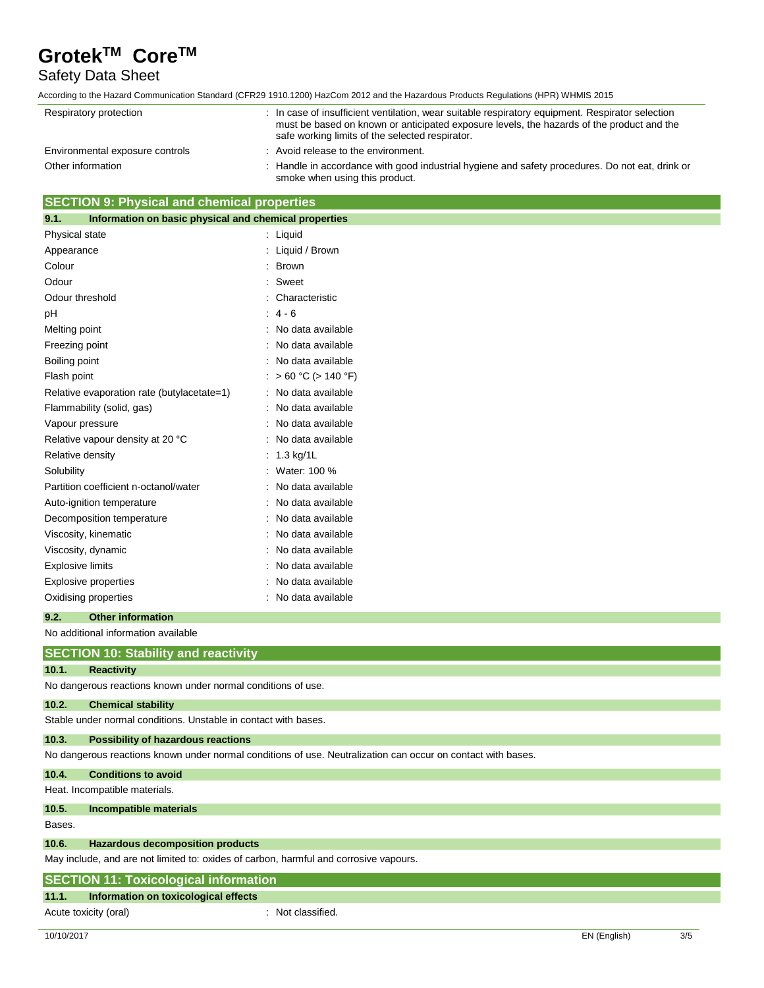## Safety Data Sheet

According to the Hazard Communication Standard (CFR29 1910.1200) HazCom 2012 and the Hazardous Products Regulations (HPR) WHMIS 2015

| Respiratory protection          |  | : In case of insufficient ventilation, wear suitable respiratory equipment. Respirator selection<br>must be based on known or anticipated exposure levels, the hazards of the product and the<br>safe working limits of the selected respirator. |
|---------------------------------|--|--------------------------------------------------------------------------------------------------------------------------------------------------------------------------------------------------------------------------------------------------|
| Environmental exposure controls |  | : Avoid release to the environment.                                                                                                                                                                                                              |
| Other information               |  | : Handle in accordance with good industrial hygiene and safety procedures. Do not eat, drink or<br>smoke when using this product.                                                                                                                |

## **SECTION 9: Physical and chemical properties**

| 9.1.                    | Information on basic physical and chemical properties |    |                          |
|-------------------------|-------------------------------------------------------|----|--------------------------|
| Physical state          |                                                       | t. | Liquid                   |
| Appearance              |                                                       |    | Liquid / Brown           |
| Colour                  |                                                       |    | <b>Brown</b>             |
| Odour                   |                                                       |    | Sweet                    |
| Odour threshold         |                                                       |    | Characteristic           |
| рH                      |                                                       |    | $4 - 6$                  |
| Melting point           |                                                       |    | No data available        |
| Freezing point          |                                                       |    | No data available        |
| Boiling point           |                                                       |    | No data available        |
| Flash point             |                                                       |    | $> 60 °C$ ( $> 140 °F$ ) |
|                         | Relative evaporation rate (butylacetate=1)            |    | No data available        |
|                         | Flammability (solid, gas)                             |    | No data available        |
| Vapour pressure         |                                                       |    | No data available        |
|                         | Relative vapour density at 20 °C                      |    | No data available        |
| Relative density        |                                                       |    | 1.3 kg/1L                |
| Solubility              |                                                       |    | Water: 100 %             |
|                         | Partition coefficient n-octanol/water                 |    | No data available        |
|                         | Auto-ignition temperature                             |    | No data available        |
|                         | Decomposition temperature                             |    | No data available        |
|                         | Viscosity, kinematic                                  |    | No data available        |
|                         | Viscosity, dynamic                                    |    | No data available        |
| <b>Explosive limits</b> |                                                       |    | No data available        |
|                         | <b>Explosive properties</b>                           |    | No data available        |
|                         | Oxidising properties                                  |    | No data available        |

### **9.2. Other information**

No additional information available

## **SECTION 10: Stability and reactivity**

### **10.1. Reactivity**

No dangerous reactions known under normal conditions of use.

#### **10.2. Chemical stability**

Stable under normal conditions. Unstable in contact with bases.

### **10.3. Possibility of hazardous reactions**

No dangerous reactions known under normal conditions of use. Neutralization can occur on contact with bases.

### **10.4. Conditions to avoid**

Heat. Incompatible materials.

#### **10.5. Incompatible materials**

Bases.

## **10.6. Hazardous decomposition products**

May include, and are not limited to: oxides of carbon, harmful and corrosive vapours.

# **SECTION 11: Toxicological information**

## **11.1. Information on toxicological effects**

Acute toxicity (oral) **Example 2** Controller toxicity (oral) and the set of the set of the set of the set of the set of the set of the set of the set of the set of the set of the set of the set of the set of the set of the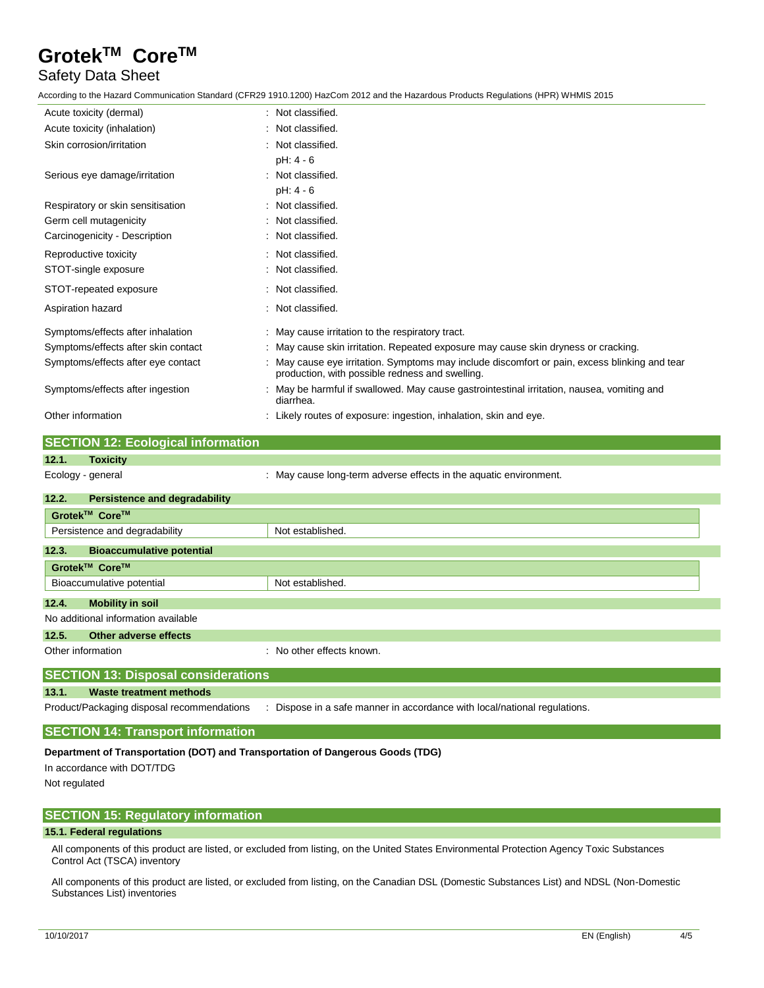## Safety Data Sheet

According to the Hazard Communication Standard (CFR29 1910.1200) HazCom 2012 and the Hazardous Products Regulations (HPR) WHMIS 2015

| Acute toxicity (dermal)                   | : Not classified.                                                                                                                                |
|-------------------------------------------|--------------------------------------------------------------------------------------------------------------------------------------------------|
| Acute toxicity (inhalation)               | : Not classified.                                                                                                                                |
| Skin corrosion/irritation                 | : Not classified.                                                                                                                                |
|                                           | $pH: 4 - 6$                                                                                                                                      |
| Serious eye damage/irritation             | : Not classified.                                                                                                                                |
|                                           | pH: 4 - 6                                                                                                                                        |
| Respiratory or skin sensitisation         | : Not classified.                                                                                                                                |
| Germ cell mutagenicity                    | : Not classified.                                                                                                                                |
| Carcinogenicity - Description             | : Not classified.                                                                                                                                |
| Reproductive toxicity                     | : Not classified.                                                                                                                                |
| STOT-single exposure                      | : Not classified.                                                                                                                                |
| STOT-repeated exposure                    | : Not classified.                                                                                                                                |
| Aspiration hazard                         | : Not classified.                                                                                                                                |
| Symptoms/effects after inhalation         | : May cause irritation to the respiratory tract.                                                                                                 |
| Symptoms/effects after skin contact       | : May cause skin irritation. Repeated exposure may cause skin dryness or cracking.                                                               |
| Symptoms/effects after eye contact        | : May cause eye irritation. Symptoms may include discomfort or pain, excess blinking and tear<br>production, with possible redness and swelling. |
| Symptoms/effects after ingestion          | : May be harmful if swallowed. May cause gastrointestinal irritation, nausea, vomiting and<br>diarrhea.                                          |
| Other information                         | : Likely routes of exposure: ingestion, inhalation, skin and eye.                                                                                |
| <b>SECTION 12: Ecological information</b> |                                                                                                                                                  |

# **12.1. Toxicity**

Ecology - general **Ecology** - general in the aquatic environment.

| 12.2.<br><b>Persistence and degradability</b>                                                                                                                                                                                                                                                                                                     |                           |  |  |
|---------------------------------------------------------------------------------------------------------------------------------------------------------------------------------------------------------------------------------------------------------------------------------------------------------------------------------------------------|---------------------------|--|--|
| Grotek™ Core™                                                                                                                                                                                                                                                                                                                                     |                           |  |  |
| Persistence and degradability                                                                                                                                                                                                                                                                                                                     | Not established.          |  |  |
| 12.3.<br><b>Bioaccumulative potential</b>                                                                                                                                                                                                                                                                                                         |                           |  |  |
| Grotek™ Core™                                                                                                                                                                                                                                                                                                                                     |                           |  |  |
| Bioaccumulative potential                                                                                                                                                                                                                                                                                                                         | Not established.          |  |  |
| 12.4.<br><b>Mobility in soil</b>                                                                                                                                                                                                                                                                                                                  |                           |  |  |
| No additional information available                                                                                                                                                                                                                                                                                                               |                           |  |  |
| 12.5.<br>Other adverse effects                                                                                                                                                                                                                                                                                                                    |                           |  |  |
| Other information                                                                                                                                                                                                                                                                                                                                 | : No other effects known. |  |  |
| $\overline{\mathbf{OPT}}$ $\mathbf{OPT}$ $\mathbf{N}$ $\mathbf{N}$ $\mathbf{N}$ $\mathbf{N}$ $\mathbf{N}$ $\mathbf{N}$ $\mathbf{N}$ $\mathbf{N}$ $\mathbf{N}$ $\mathbf{N}$ $\mathbf{N}$ $\mathbf{N}$ $\mathbf{N}$ $\mathbf{N}$ $\mathbf{N}$ $\mathbf{N}$ $\mathbf{N}$ $\mathbf{N}$ $\mathbf{N}$ $\mathbf{N}$ $\mathbf{N}$ $\mathbf{N}$ $\mathbf{$ |                           |  |  |

## **SECTION 13: Disposal considerations**

**13.1. Waste treatment methods**

Product/Packaging disposal recommendations : Dispose in a safe manner in accordance with local/national regulations.

#### **SECTION 14: Transport information**

#### **Department of Transportation (DOT) and Transportation of Dangerous Goods (TDG)**

In accordance with DOT/TDG Not regulated

### **SECTION 15: Regulatory information**

#### **15.1. Federal regulations**

All components of this product are listed, or excluded from listing, on the United States Environmental Protection Agency Toxic Substances Control Act (TSCA) inventory

All components of this product are listed, or excluded from listing, on the Canadian DSL (Domestic Substances List) and NDSL (Non-Domestic Substances List) inventories